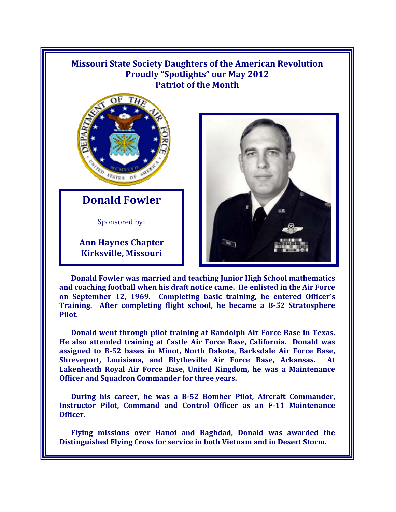

**Donald Fowler was married and teaching Junior High School mathematics and coaching football when his draft notice came. He enlisted in the Air Force on September 12, 1969. Completing basic training, he entered Officer's Training. After completing flight school, he became a B-52 Stratosphere Pilot.** 

**Donald went through pilot training at Randolph Air Force Base in Texas. He also attended training at Castle Air Force Base, California. Donald was assigned to B-52 bases in Minot, North Dakota, Barksdale Air Force Base, Shreveport, Louisiana, and Blytheville Air Force Base, Arkansas. Lakenheath Royal Air Force Base, United Kingdom, he was a Maintenance Officer and Squadron Commander for three years.** 

**During his career, he was a B-52 Bomber Pilot, Aircraft Commander, Instructor Pilot, Command and Control Officer as an F-11 Maintenance Officer.** 

**Flying missions over Hanoi and Baghdad, Donald was awarded the Distinguished Flying Cross for service in both Vietnam and in Desert Storm.**